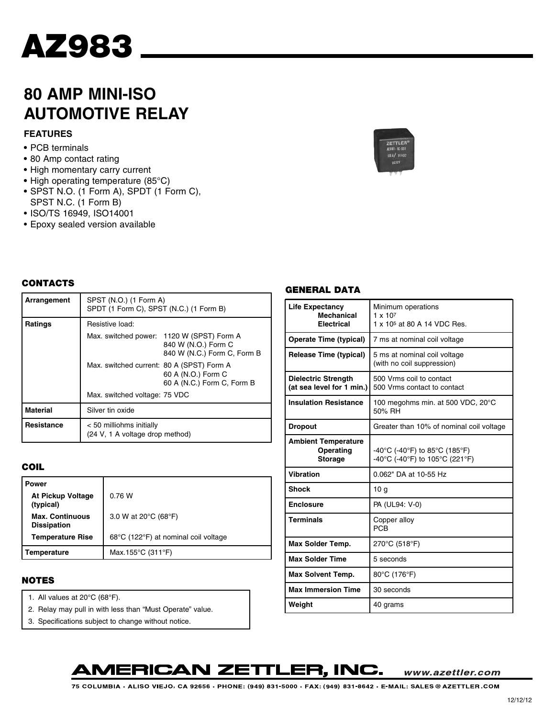

# **80 AMP MINI-ISO AUTOMOTIVE RELAY**

# **FEATURES**

- **•** PCB terminals
- **•** 80 Amp contact rating
- **•** High momentary carry current
- **•** High operating temperature (85°C)
- **•** SPST N.O. (1 Form A), SPDT (1 Form C), SPST N.C. (1 Form B)
- ISO/TS 16949, ISO14001
- Epoxy sealed version available

# **CONTACTS**

| Arrangement       | SPST (N.O.) (1 Form A)<br>SPDT (1 Form C), SPST (N.C.) (1 Form B)                               |  |  |  |  |
|-------------------|-------------------------------------------------------------------------------------------------|--|--|--|--|
| <b>Ratings</b>    | Resistive load:                                                                                 |  |  |  |  |
|                   | Max. switched power: 1120 W (SPST) Form A<br>840 W (N.O.) Form C<br>840 W (N.C.) Form C, Form B |  |  |  |  |
|                   | Max. switched current: 80 A (SPST) Form A<br>60 A (N.O.) Form C<br>60 A (N.C.) Form C, Form B   |  |  |  |  |
|                   | Max. switched voltage: 75 VDC                                                                   |  |  |  |  |
| <b>Material</b>   | Silver tin oxide                                                                                |  |  |  |  |
| <b>Resistance</b> | < 50 milliohms initially<br>(24 V, 1 A voltage drop method)                                     |  |  |  |  |

#### **COIL**

| Power                                        |                                       |  |  |
|----------------------------------------------|---------------------------------------|--|--|
| <b>At Pickup Voltage</b><br>(typical)        | 0.76 W                                |  |  |
| <b>Max. Continuous</b><br><b>Dissipation</b> | 3.0 W at 20°C (68°F)                  |  |  |
| <b>Temperature Rise</b>                      | 68°C (122°F) at nominal coil voltage  |  |  |
| Temperature                                  | Max.155 $\degree$ C (311 $\degree$ F) |  |  |

### **NOTES**

- 1. All values at 20°C (68°F).
- 2. Relay may pull in with less than "Must Operate" value.
- 3. Specifications subject to change without notice.



# **GENERAL DATA**

| <b>Life Expectancy</b><br><b>Mechanical</b><br><b>Electrical</b> | Minimum operations<br>$1 \times 10^{7}$<br>1 x 10 <sup>5</sup> at 80 A 14 VDC Res. |  |  |
|------------------------------------------------------------------|------------------------------------------------------------------------------------|--|--|
| <b>Operate Time (typical)</b>                                    | 7 ms at nominal coil voltage                                                       |  |  |
| <b>Release Time (typical)</b>                                    | 5 ms at nominal coil voltage<br>(with no coil suppression)                         |  |  |
| <b>Dielectric Strength</b><br>(at sea level for 1 min.)          | 500 Vrms coil to contact<br>500 Vrms contact to contact                            |  |  |
| <b>Insulation Resistance</b>                                     | 100 megohms min. at 500 VDC, 20°C<br>50% RH                                        |  |  |
| <b>Dropout</b>                                                   | Greater than 10% of nominal coil voltage                                           |  |  |
| <b>Ambient Temperature</b><br>Operating<br><b>Storage</b>        | -40°C (-40°F) to 85°C (185°F)<br>-40°C (-40°F) to 105°C (221°F)                    |  |  |
| <b>Vibration</b>                                                 | 0.062" DA at 10-55 Hz                                                              |  |  |
| <b>Shock</b>                                                     | 10 <sub>g</sub>                                                                    |  |  |
| <b>Enclosure</b>                                                 | PA (UL94: V-0)                                                                     |  |  |
| <b>Terminals</b>                                                 | Copper alloy<br><b>PCB</b>                                                         |  |  |
| Max Solder Temp.                                                 | 270°C (518°F)                                                                      |  |  |
| <b>Max Solder Time</b>                                           | 5 seconds                                                                          |  |  |
| <b>Max Solvent Temp.</b>                                         | 80°C (176°F)                                                                       |  |  |
| <b>Max Immersion Time</b>                                        | 30 seconds                                                                         |  |  |
| Weight                                                           | 40 grams                                                                           |  |  |

#### 1ERICAN. IC. ZETTLER. IN

www.azettler.com